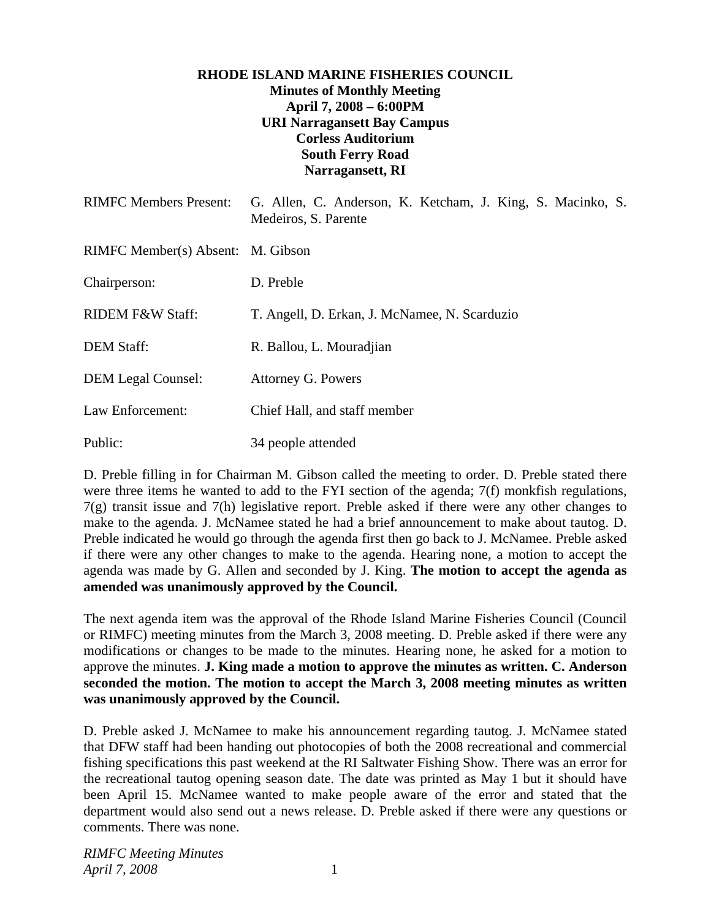## **RHODE ISLAND MARINE FISHERIES COUNCIL Minutes of Monthly Meeting April 7, 2008 – 6:00PM URI Narragansett Bay Campus Corless Auditorium South Ferry Road Narragansett, RI**

| <b>RIMFC Members Present:</b>     | G. Allen, C. Anderson, K. Ketcham, J. King, S. Macinko, S.<br>Medeiros, S. Parente |
|-----------------------------------|------------------------------------------------------------------------------------|
| RIMFC Member(s) Absent: M. Gibson |                                                                                    |
| Chairperson:                      | D. Preble                                                                          |
| <b>RIDEM F&amp;W Staff:</b>       | T. Angell, D. Erkan, J. McNamee, N. Scarduzio                                      |
| <b>DEM Staff:</b>                 | R. Ballou, L. Mouradjian                                                           |
| <b>DEM Legal Counsel:</b>         | Attorney G. Powers                                                                 |
| Law Enforcement:                  | Chief Hall, and staff member                                                       |
| Public:                           | 34 people attended                                                                 |

D. Preble filling in for Chairman M. Gibson called the meeting to order. D. Preble stated there were three items he wanted to add to the FYI section of the agenda; 7(f) monkfish regulations, 7(g) transit issue and 7(h) legislative report. Preble asked if there were any other changes to make to the agenda. J. McNamee stated he had a brief announcement to make about tautog. D. Preble indicated he would go through the agenda first then go back to J. McNamee. Preble asked if there were any other changes to make to the agenda. Hearing none, a motion to accept the agenda was made by G. Allen and seconded by J. King. **The motion to accept the agenda as amended was unanimously approved by the Council.**

The next agenda item was the approval of the Rhode Island Marine Fisheries Council (Council or RIMFC) meeting minutes from the March 3, 2008 meeting. D. Preble asked if there were any modifications or changes to be made to the minutes. Hearing none, he asked for a motion to approve the minutes. **J. King made a motion to approve the minutes as written. C. Anderson seconded the motion. The motion to accept the March 3, 2008 meeting minutes as written was unanimously approved by the Council.** 

D. Preble asked J. McNamee to make his announcement regarding tautog. J. McNamee stated that DFW staff had been handing out photocopies of both the 2008 recreational and commercial fishing specifications this past weekend at the RI Saltwater Fishing Show. There was an error for the recreational tautog opening season date. The date was printed as May 1 but it should have been April 15. McNamee wanted to make people aware of the error and stated that the department would also send out a news release. D. Preble asked if there were any questions or comments. There was none.

*RIMFC Meeting Minutes April 7, 2008* 1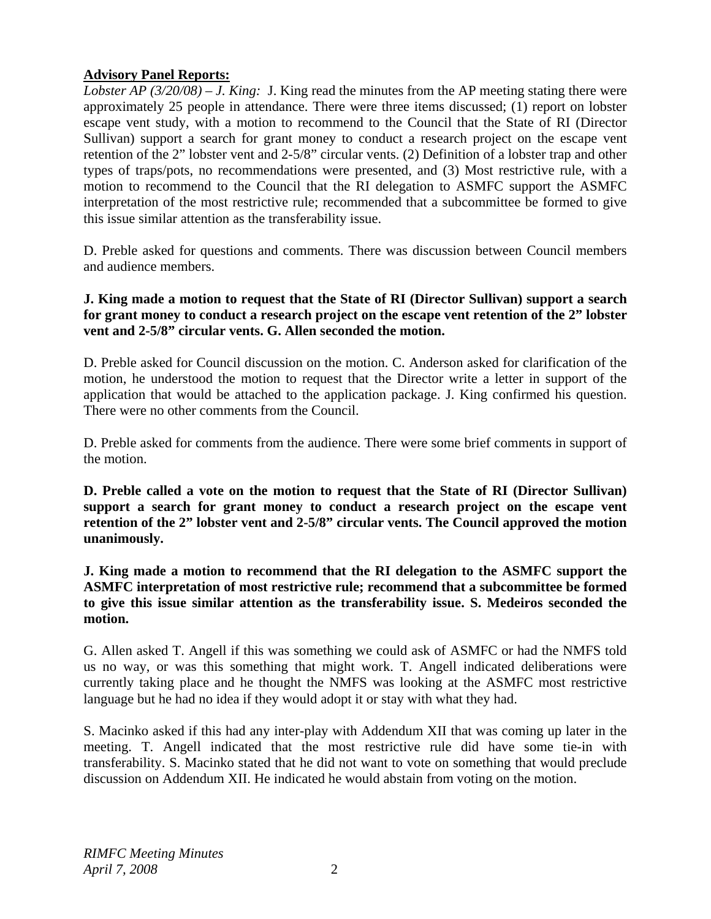## **Advisory Panel Reports:**

*Lobster AP (3/20/08) – J. King:* J. King read the minutes from the AP meeting stating there were approximately 25 people in attendance. There were three items discussed; (1) report on lobster escape vent study, with a motion to recommend to the Council that the State of RI (Director Sullivan) support a search for grant money to conduct a research project on the escape vent retention of the 2" lobster vent and 2-5/8" circular vents. (2) Definition of a lobster trap and other types of traps/pots, no recommendations were presented, and (3) Most restrictive rule, with a motion to recommend to the Council that the RI delegation to ASMFC support the ASMFC interpretation of the most restrictive rule; recommended that a subcommittee be formed to give this issue similar attention as the transferability issue.

D. Preble asked for questions and comments. There was discussion between Council members and audience members.

## **J. King made a motion to request that the State of RI (Director Sullivan) support a search for grant money to conduct a research project on the escape vent retention of the 2" lobster vent and 2-5/8" circular vents. G. Allen seconded the motion.**

D. Preble asked for Council discussion on the motion. C. Anderson asked for clarification of the motion, he understood the motion to request that the Director write a letter in support of the application that would be attached to the application package. J. King confirmed his question. There were no other comments from the Council.

D. Preble asked for comments from the audience. There were some brief comments in support of the motion.

**D. Preble called a vote on the motion to request that the State of RI (Director Sullivan) support a search for grant money to conduct a research project on the escape vent retention of the 2" lobster vent and 2-5/8" circular vents. The Council approved the motion unanimously.** 

**J. King made a motion to recommend that the RI delegation to the ASMFC support the ASMFC interpretation of most restrictive rule; recommend that a subcommittee be formed to give this issue similar attention as the transferability issue. S. Medeiros seconded the motion.**

G. Allen asked T. Angell if this was something we could ask of ASMFC or had the NMFS told us no way, or was this something that might work. T. Angell indicated deliberations were currently taking place and he thought the NMFS was looking at the ASMFC most restrictive language but he had no idea if they would adopt it or stay with what they had.

S. Macinko asked if this had any inter-play with Addendum XII that was coming up later in the meeting. T. Angell indicated that the most restrictive rule did have some tie-in with transferability. S. Macinko stated that he did not want to vote on something that would preclude discussion on Addendum XII. He indicated he would abstain from voting on the motion.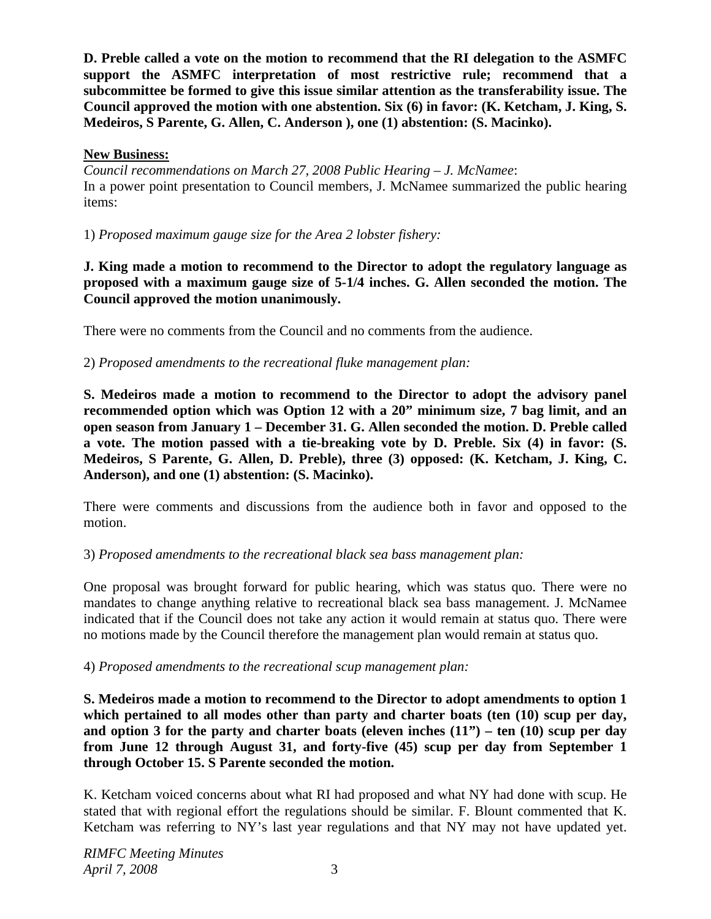**D. Preble called a vote on the motion to recommend that the RI delegation to the ASMFC support the ASMFC interpretation of most restrictive rule; recommend that a subcommittee be formed to give this issue similar attention as the transferability issue. The Council approved the motion with one abstention. Six (6) in favor: (K. Ketcham, J. King, S. Medeiros, S Parente, G. Allen, C. Anderson ), one (1) abstention: (S. Macinko).** 

### **New Business:**

*Council recommendations on March 27, 2008 Public Hearing – J. McNamee*: In a power point presentation to Council members, J. McNamee summarized the public hearing items:

1) *Proposed maximum gauge size for the Area 2 lobster fishery:*

**J. King made a motion to recommend to the Director to adopt the regulatory language as proposed with a maximum gauge size of 5-1/4 inches. G. Allen seconded the motion. The Council approved the motion unanimously.**

There were no comments from the Council and no comments from the audience.

2) *Proposed amendments to the recreational fluke management plan:*

**S. Medeiros made a motion to recommend to the Director to adopt the advisory panel recommended option which was Option 12 with a 20" minimum size, 7 bag limit, and an open season from January 1 – December 31. G. Allen seconded the motion. D. Preble called a vote. The motion passed with a tie-breaking vote by D. Preble. Six (4) in favor: (S. Medeiros, S Parente, G. Allen, D. Preble), three (3) opposed: (K. Ketcham, J. King, C. Anderson), and one (1) abstention: (S. Macinko).** 

There were comments and discussions from the audience both in favor and opposed to the motion.

## 3) *Proposed amendments to the recreational black sea bass management plan:*

One proposal was brought forward for public hearing, which was status quo. There were no mandates to change anything relative to recreational black sea bass management. J. McNamee indicated that if the Council does not take any action it would remain at status quo. There were no motions made by the Council therefore the management plan would remain at status quo.

4) *Proposed amendments to the recreational scup management plan:*

**S. Medeiros made a motion to recommend to the Director to adopt amendments to option 1 which pertained to all modes other than party and charter boats (ten (10) scup per day, and option 3 for the party and charter boats (eleven inches (11") – ten (10) scup per day from June 12 through August 31, and forty-five (45) scup per day from September 1 through October 15. S Parente seconded the motion.** 

K. Ketcham voiced concerns about what RI had proposed and what NY had done with scup. He stated that with regional effort the regulations should be similar. F. Blount commented that K. Ketcham was referring to NY's last year regulations and that NY may not have updated yet.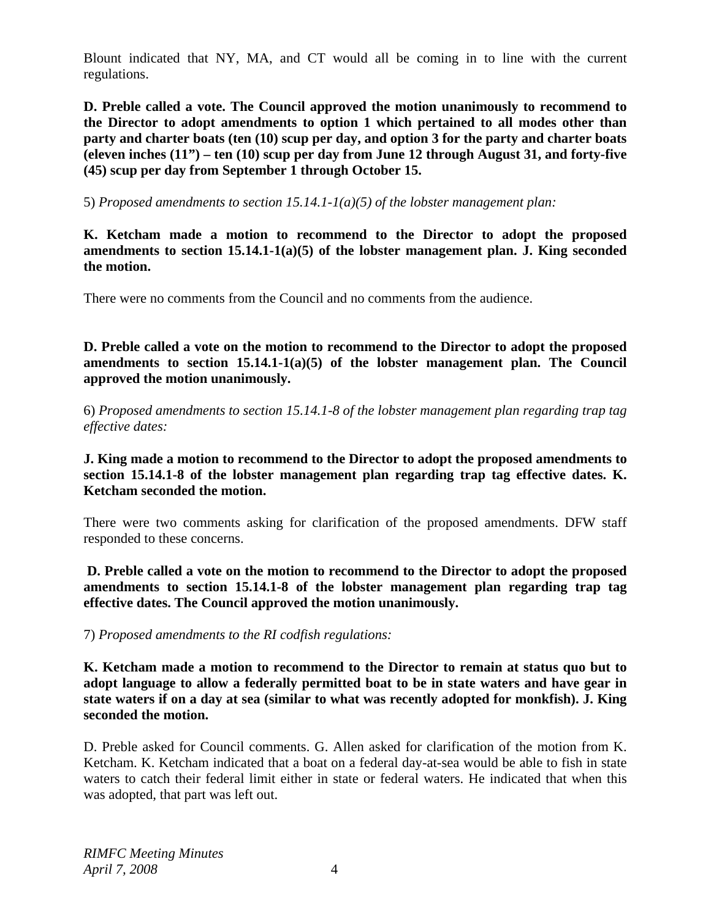Blount indicated that NY, MA, and CT would all be coming in to line with the current regulations.

**D. Preble called a vote. The Council approved the motion unanimously to recommend to the Director to adopt amendments to option 1 which pertained to all modes other than party and charter boats (ten (10) scup per day, and option 3 for the party and charter boats (eleven inches (11") – ten (10) scup per day from June 12 through August 31, and forty-five (45) scup per day from September 1 through October 15.**

5) *Proposed amendments to section 15.14.1-1(a)(5) of the lobster management plan:*

**K. Ketcham made a motion to recommend to the Director to adopt the proposed amendments to section 15.14.1-1(a)(5) of the lobster management plan. J. King seconded the motion.** 

There were no comments from the Council and no comments from the audience.

**D. Preble called a vote on the motion to recommend to the Director to adopt the proposed amendments to section 15.14.1-1(a)(5) of the lobster management plan. The Council approved the motion unanimously.**

6) *Proposed amendments to section 15.14.1-8 of the lobster management plan regarding trap tag effective dates:*

**J. King made a motion to recommend to the Director to adopt the proposed amendments to section 15.14.1-8 of the lobster management plan regarding trap tag effective dates. K. Ketcham seconded the motion.** 

There were two comments asking for clarification of the proposed amendments. DFW staff responded to these concerns.

**D. Preble called a vote on the motion to recommend to the Director to adopt the proposed amendments to section 15.14.1-8 of the lobster management plan regarding trap tag effective dates. The Council approved the motion unanimously.**

7) *Proposed amendments to the RI codfish regulations:*

**K. Ketcham made a motion to recommend to the Director to remain at status quo but to adopt language to allow a federally permitted boat to be in state waters and have gear in state waters if on a day at sea (similar to what was recently adopted for monkfish). J. King seconded the motion.** 

D. Preble asked for Council comments. G. Allen asked for clarification of the motion from K. Ketcham. K. Ketcham indicated that a boat on a federal day-at-sea would be able to fish in state waters to catch their federal limit either in state or federal waters. He indicated that when this was adopted, that part was left out.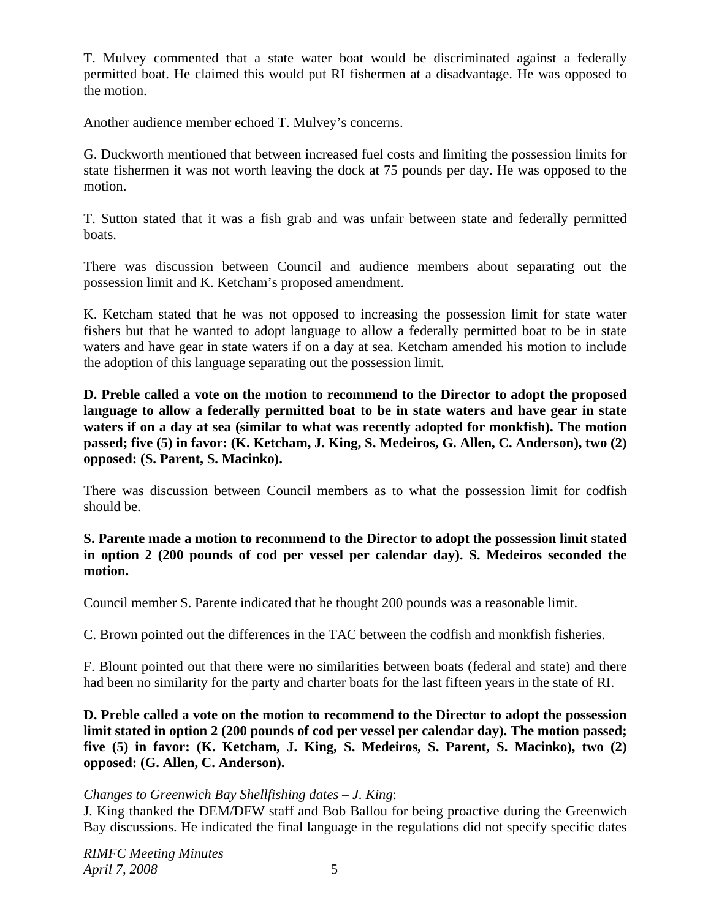T. Mulvey commented that a state water boat would be discriminated against a federally permitted boat. He claimed this would put RI fishermen at a disadvantage. He was opposed to the motion.

Another audience member echoed T. Mulvey's concerns.

G. Duckworth mentioned that between increased fuel costs and limiting the possession limits for state fishermen it was not worth leaving the dock at 75 pounds per day. He was opposed to the motion.

T. Sutton stated that it was a fish grab and was unfair between state and federally permitted boats.

There was discussion between Council and audience members about separating out the possession limit and K. Ketcham's proposed amendment.

K. Ketcham stated that he was not opposed to increasing the possession limit for state water fishers but that he wanted to adopt language to allow a federally permitted boat to be in state waters and have gear in state waters if on a day at sea. Ketcham amended his motion to include the adoption of this language separating out the possession limit.

**D. Preble called a vote on the motion to recommend to the Director to adopt the proposed language to allow a federally permitted boat to be in state waters and have gear in state waters if on a day at sea (similar to what was recently adopted for monkfish). The motion passed; five (5) in favor: (K. Ketcham, J. King, S. Medeiros, G. Allen, C. Anderson), two (2) opposed: (S. Parent, S. Macinko).**

There was discussion between Council members as to what the possession limit for codfish should be.

### **S. Parente made a motion to recommend to the Director to adopt the possession limit stated in option 2 (200 pounds of cod per vessel per calendar day). S. Medeiros seconded the motion.**

Council member S. Parente indicated that he thought 200 pounds was a reasonable limit.

C. Brown pointed out the differences in the TAC between the codfish and monkfish fisheries.

F. Blount pointed out that there were no similarities between boats (federal and state) and there had been no similarity for the party and charter boats for the last fifteen years in the state of RI.

**D. Preble called a vote on the motion to recommend to the Director to adopt the possession limit stated in option 2 (200 pounds of cod per vessel per calendar day). The motion passed; five (5) in favor: (K. Ketcham, J. King, S. Medeiros, S. Parent, S. Macinko), two (2) opposed: (G. Allen, C. Anderson).**

#### *Changes to Greenwich Bay Shellfishing dates – J. King*:

J. King thanked the DEM/DFW staff and Bob Ballou for being proactive during the Greenwich Bay discussions. He indicated the final language in the regulations did not specify specific dates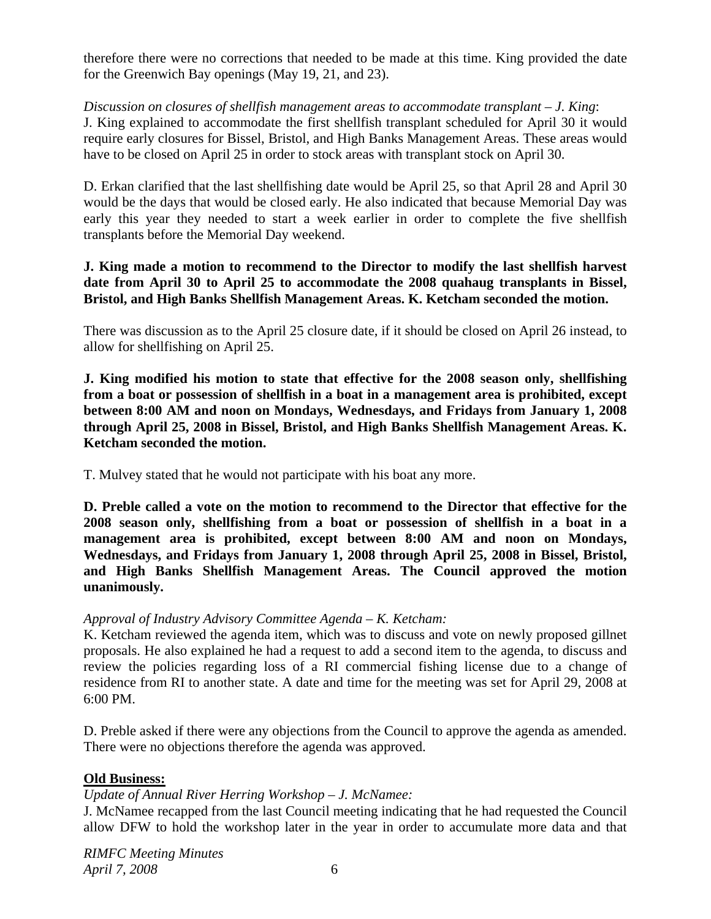therefore there were no corrections that needed to be made at this time. King provided the date for the Greenwich Bay openings (May 19, 21, and 23).

*Discussion on closures of shellfish management areas to accommodate transplant – J. King*: J. King explained to accommodate the first shellfish transplant scheduled for April 30 it would require early closures for Bissel, Bristol, and High Banks Management Areas. These areas would have to be closed on April 25 in order to stock areas with transplant stock on April 30.

D. Erkan clarified that the last shellfishing date would be April 25, so that April 28 and April 30 would be the days that would be closed early. He also indicated that because Memorial Day was early this year they needed to start a week earlier in order to complete the five shellfish transplants before the Memorial Day weekend.

### **J. King made a motion to recommend to the Director to modify the last shellfish harvest date from April 30 to April 25 to accommodate the 2008 quahaug transplants in Bissel, Bristol, and High Banks Shellfish Management Areas. K. Ketcham seconded the motion.**

There was discussion as to the April 25 closure date, if it should be closed on April 26 instead, to allow for shellfishing on April 25.

**J. King modified his motion to state that effective for the 2008 season only, shellfishing from a boat or possession of shellfish in a boat in a management area is prohibited, except between 8:00 AM and noon on Mondays, Wednesdays, and Fridays from January 1, 2008 through April 25, 2008 in Bissel, Bristol, and High Banks Shellfish Management Areas. K. Ketcham seconded the motion.**

T. Mulvey stated that he would not participate with his boat any more.

**D. Preble called a vote on the motion to recommend to the Director that effective for the 2008 season only, shellfishing from a boat or possession of shellfish in a boat in a management area is prohibited, except between 8:00 AM and noon on Mondays, Wednesdays, and Fridays from January 1, 2008 through April 25, 2008 in Bissel, Bristol, and High Banks Shellfish Management Areas. The Council approved the motion unanimously.**

## *Approval of Industry Advisory Committee Agenda – K. Ketcham:*

K. Ketcham reviewed the agenda item, which was to discuss and vote on newly proposed gillnet proposals. He also explained he had a request to add a second item to the agenda, to discuss and review the policies regarding loss of a RI commercial fishing license due to a change of residence from RI to another state. A date and time for the meeting was set for April 29, 2008 at 6:00 PM.

D. Preble asked if there were any objections from the Council to approve the agenda as amended. There were no objections therefore the agenda was approved.

## **Old Business:**

#### *Update of Annual River Herring Workshop – J. McNamee:*

J. McNamee recapped from the last Council meeting indicating that he had requested the Council allow DFW to hold the workshop later in the year in order to accumulate more data and that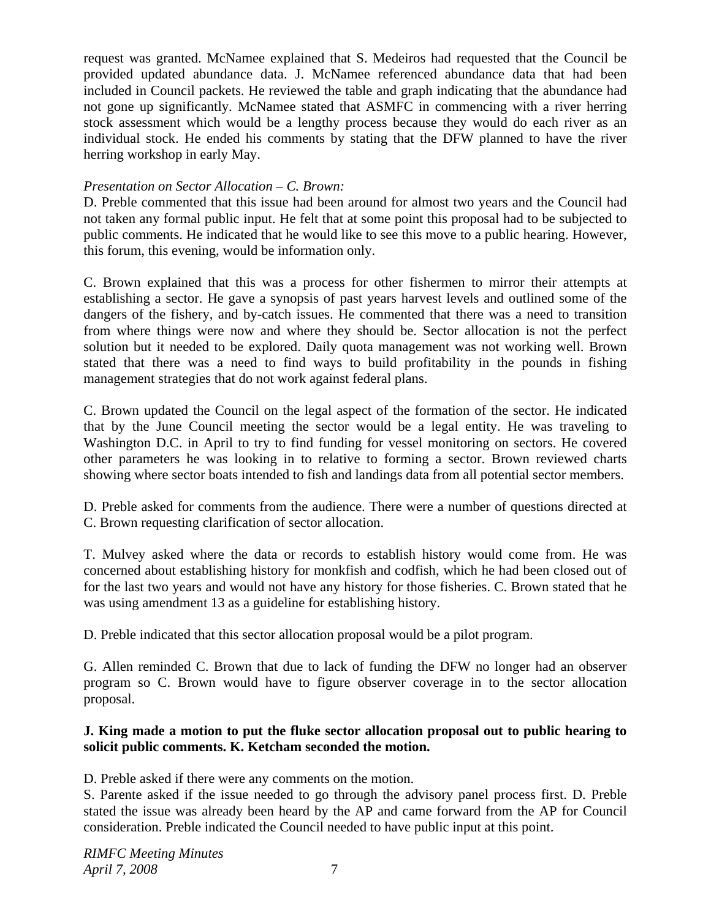request was granted. McNamee explained that S. Medeiros had requested that the Council be provided updated abundance data. J. McNamee referenced abundance data that had been included in Council packets. He reviewed the table and graph indicating that the abundance had not gone up significantly. McNamee stated that ASMFC in commencing with a river herring stock assessment which would be a lengthy process because they would do each river as an individual stock. He ended his comments by stating that the DFW planned to have the river herring workshop in early May.

## *Presentation on Sector Allocation – C. Brown:*

D. Preble commented that this issue had been around for almost two years and the Council had not taken any formal public input. He felt that at some point this proposal had to be subjected to public comments. He indicated that he would like to see this move to a public hearing. However, this forum, this evening, would be information only.

C. Brown explained that this was a process for other fishermen to mirror their attempts at establishing a sector. He gave a synopsis of past years harvest levels and outlined some of the dangers of the fishery, and by-catch issues. He commented that there was a need to transition from where things were now and where they should be. Sector allocation is not the perfect solution but it needed to be explored. Daily quota management was not working well. Brown stated that there was a need to find ways to build profitability in the pounds in fishing management strategies that do not work against federal plans.

C. Brown updated the Council on the legal aspect of the formation of the sector. He indicated that by the June Council meeting the sector would be a legal entity. He was traveling to Washington D.C. in April to try to find funding for vessel monitoring on sectors. He covered other parameters he was looking in to relative to forming a sector. Brown reviewed charts showing where sector boats intended to fish and landings data from all potential sector members.

D. Preble asked for comments from the audience. There were a number of questions directed at C. Brown requesting clarification of sector allocation.

T. Mulvey asked where the data or records to establish history would come from. He was concerned about establishing history for monkfish and codfish, which he had been closed out of for the last two years and would not have any history for those fisheries. C. Brown stated that he was using amendment 13 as a guideline for establishing history.

D. Preble indicated that this sector allocation proposal would be a pilot program.

G. Allen reminded C. Brown that due to lack of funding the DFW no longer had an observer program so C. Brown would have to figure observer coverage in to the sector allocation proposal.

## **J. King made a motion to put the fluke sector allocation proposal out to public hearing to solicit public comments. K. Ketcham seconded the motion.**

D. Preble asked if there were any comments on the motion.

S. Parente asked if the issue needed to go through the advisory panel process first. D. Preble stated the issue was already been heard by the AP and came forward from the AP for Council consideration. Preble indicated the Council needed to have public input at this point.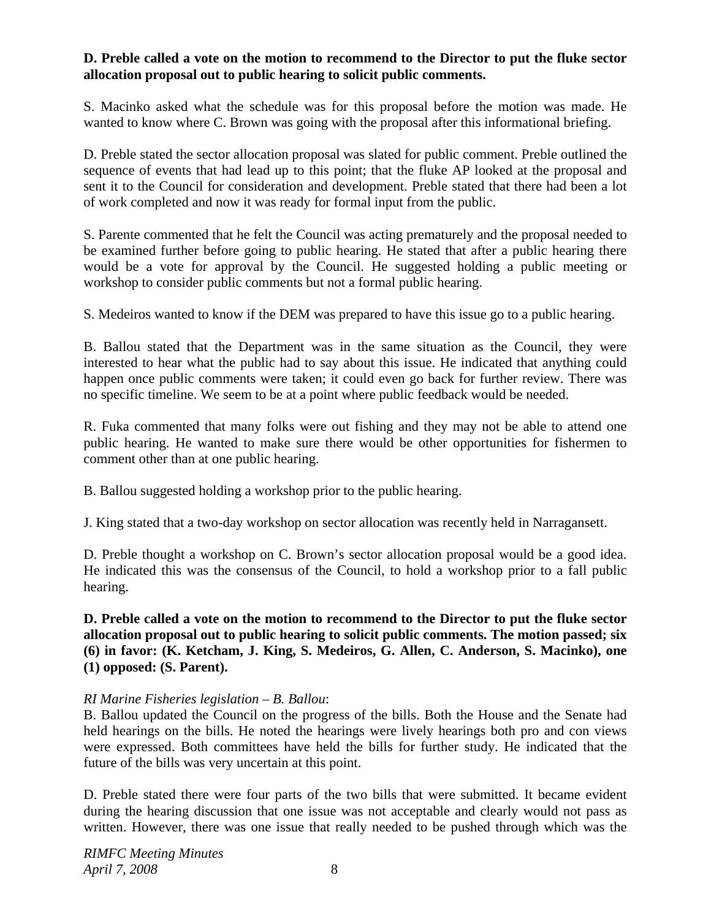### **D. Preble called a vote on the motion to recommend to the Director to put the fluke sector allocation proposal out to public hearing to solicit public comments.**

S. Macinko asked what the schedule was for this proposal before the motion was made. He wanted to know where C. Brown was going with the proposal after this informational briefing.

D. Preble stated the sector allocation proposal was slated for public comment. Preble outlined the sequence of events that had lead up to this point; that the fluke AP looked at the proposal and sent it to the Council for consideration and development. Preble stated that there had been a lot of work completed and now it was ready for formal input from the public.

S. Parente commented that he felt the Council was acting prematurely and the proposal needed to be examined further before going to public hearing. He stated that after a public hearing there would be a vote for approval by the Council. He suggested holding a public meeting or workshop to consider public comments but not a formal public hearing.

S. Medeiros wanted to know if the DEM was prepared to have this issue go to a public hearing.

B. Ballou stated that the Department was in the same situation as the Council, they were interested to hear what the public had to say about this issue. He indicated that anything could happen once public comments were taken; it could even go back for further review. There was no specific timeline. We seem to be at a point where public feedback would be needed.

R. Fuka commented that many folks were out fishing and they may not be able to attend one public hearing. He wanted to make sure there would be other opportunities for fishermen to comment other than at one public hearing.

B. Ballou suggested holding a workshop prior to the public hearing.

J. King stated that a two-day workshop on sector allocation was recently held in Narragansett.

D. Preble thought a workshop on C. Brown's sector allocation proposal would be a good idea. He indicated this was the consensus of the Council, to hold a workshop prior to a fall public hearing.

**D. Preble called a vote on the motion to recommend to the Director to put the fluke sector allocation proposal out to public hearing to solicit public comments. The motion passed; six (6) in favor: (K. Ketcham, J. King, S. Medeiros, G. Allen, C. Anderson, S. Macinko), one (1) opposed: (S. Parent).**

#### *RI Marine Fisheries legislation – B. Ballou*:

B. Ballou updated the Council on the progress of the bills. Both the House and the Senate had held hearings on the bills. He noted the hearings were lively hearings both pro and con views were expressed. Both committees have held the bills for further study. He indicated that the future of the bills was very uncertain at this point.

D. Preble stated there were four parts of the two bills that were submitted. It became evident during the hearing discussion that one issue was not acceptable and clearly would not pass as written. However, there was one issue that really needed to be pushed through which was the

*RIMFC Meeting Minutes April 7, 2008* 8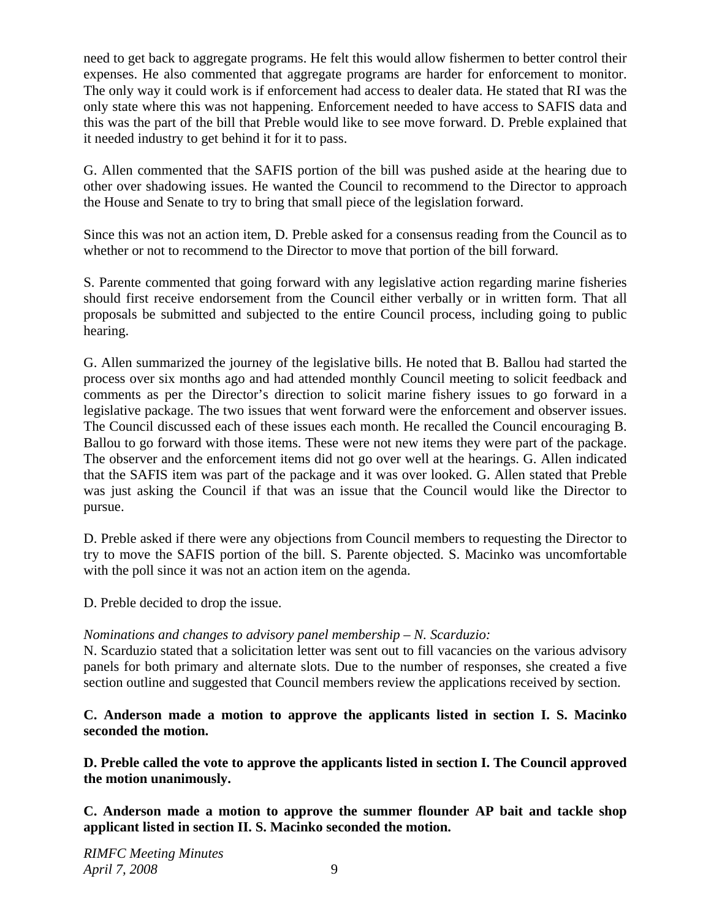need to get back to aggregate programs. He felt this would allow fishermen to better control their expenses. He also commented that aggregate programs are harder for enforcement to monitor. The only way it could work is if enforcement had access to dealer data. He stated that RI was the only state where this was not happening. Enforcement needed to have access to SAFIS data and this was the part of the bill that Preble would like to see move forward. D. Preble explained that it needed industry to get behind it for it to pass.

G. Allen commented that the SAFIS portion of the bill was pushed aside at the hearing due to other over shadowing issues. He wanted the Council to recommend to the Director to approach the House and Senate to try to bring that small piece of the legislation forward.

Since this was not an action item, D. Preble asked for a consensus reading from the Council as to whether or not to recommend to the Director to move that portion of the bill forward.

S. Parente commented that going forward with any legislative action regarding marine fisheries should first receive endorsement from the Council either verbally or in written form. That all proposals be submitted and subjected to the entire Council process, including going to public hearing.

G. Allen summarized the journey of the legislative bills. He noted that B. Ballou had started the process over six months ago and had attended monthly Council meeting to solicit feedback and comments as per the Director's direction to solicit marine fishery issues to go forward in a legislative package. The two issues that went forward were the enforcement and observer issues. The Council discussed each of these issues each month. He recalled the Council encouraging B. Ballou to go forward with those items. These were not new items they were part of the package. The observer and the enforcement items did not go over well at the hearings. G. Allen indicated that the SAFIS item was part of the package and it was over looked. G. Allen stated that Preble was just asking the Council if that was an issue that the Council would like the Director to pursue.

D. Preble asked if there were any objections from Council members to requesting the Director to try to move the SAFIS portion of the bill. S. Parente objected. S. Macinko was uncomfortable with the poll since it was not an action item on the agenda.

D. Preble decided to drop the issue.

## *Nominations and changes to advisory panel membership – N. Scarduzio:*

N. Scarduzio stated that a solicitation letter was sent out to fill vacancies on the various advisory panels for both primary and alternate slots. Due to the number of responses, she created a five section outline and suggested that Council members review the applications received by section.

**C. Anderson made a motion to approve the applicants listed in section I. S. Macinko seconded the motion.** 

**D. Preble called the vote to approve the applicants listed in section I. The Council approved the motion unanimously.** 

**C. Anderson made a motion to approve the summer flounder AP bait and tackle shop applicant listed in section II. S. Macinko seconded the motion.**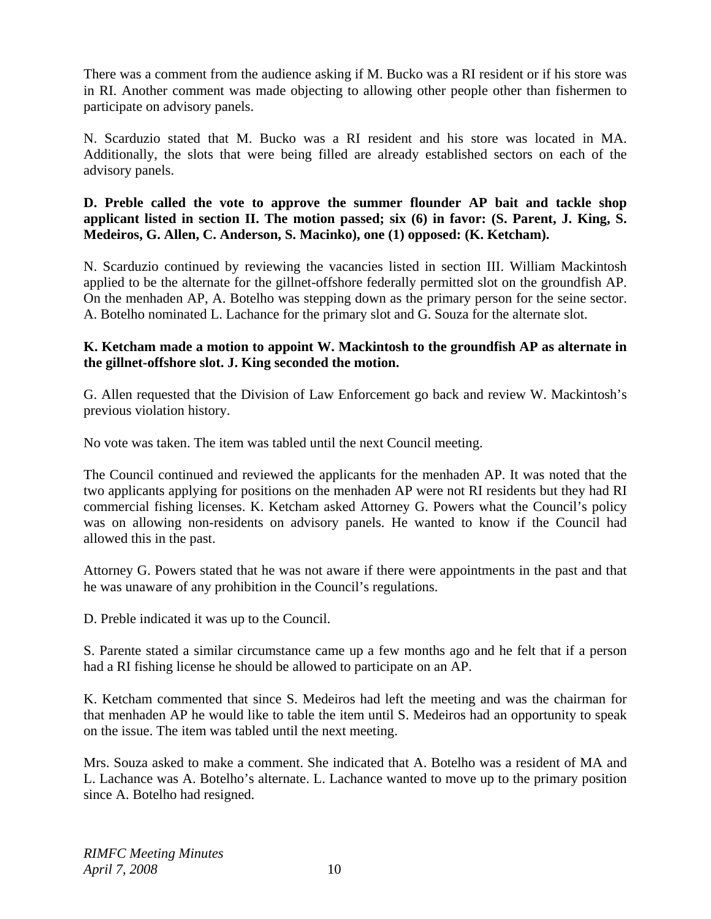There was a comment from the audience asking if M. Bucko was a RI resident or if his store was in RI. Another comment was made objecting to allowing other people other than fishermen to participate on advisory panels.

N. Scarduzio stated that M. Bucko was a RI resident and his store was located in MA. Additionally, the slots that were being filled are already established sectors on each of the advisory panels.

**D. Preble called the vote to approve the summer flounder AP bait and tackle shop applicant listed in section II. The motion passed; six (6) in favor: (S. Parent, J. King, S. Medeiros, G. Allen, C. Anderson, S. Macinko), one (1) opposed: (K. Ketcham).**

N. Scarduzio continued by reviewing the vacancies listed in section III. William Mackintosh applied to be the alternate for the gillnet-offshore federally permitted slot on the groundfish AP. On the menhaden AP, A. Botelho was stepping down as the primary person for the seine sector. A. Botelho nominated L. Lachance for the primary slot and G. Souza for the alternate slot.

### **K. Ketcham made a motion to appoint W. Mackintosh to the groundfish AP as alternate in the gillnet-offshore slot. J. King seconded the motion.**

G. Allen requested that the Division of Law Enforcement go back and review W. Mackintosh's previous violation history.

No vote was taken. The item was tabled until the next Council meeting.

The Council continued and reviewed the applicants for the menhaden AP. It was noted that the two applicants applying for positions on the menhaden AP were not RI residents but they had RI commercial fishing licenses. K. Ketcham asked Attorney G. Powers what the Council's policy was on allowing non-residents on advisory panels. He wanted to know if the Council had allowed this in the past.

Attorney G. Powers stated that he was not aware if there were appointments in the past and that he was unaware of any prohibition in the Council's regulations.

D. Preble indicated it was up to the Council.

S. Parente stated a similar circumstance came up a few months ago and he felt that if a person had a RI fishing license he should be allowed to participate on an AP.

K. Ketcham commented that since S. Medeiros had left the meeting and was the chairman for that menhaden AP he would like to table the item until S. Medeiros had an opportunity to speak on the issue. The item was tabled until the next meeting.

Mrs. Souza asked to make a comment. She indicated that A. Botelho was a resident of MA and L. Lachance was A. Botelho's alternate. L. Lachance wanted to move up to the primary position since A. Botelho had resigned.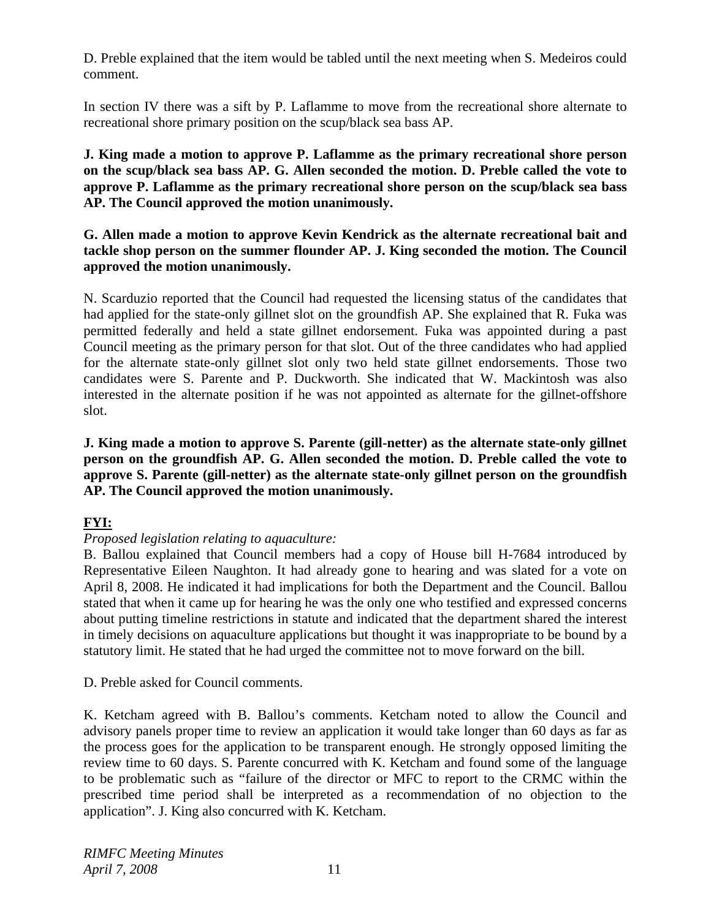D. Preble explained that the item would be tabled until the next meeting when S. Medeiros could comment.

In section IV there was a sift by P. Laflamme to move from the recreational shore alternate to recreational shore primary position on the scup/black sea bass AP.

**J. King made a motion to approve P. Laflamme as the primary recreational shore person on the scup/black sea bass AP. G. Allen seconded the motion. D. Preble called the vote to approve P. Laflamme as the primary recreational shore person on the scup/black sea bass AP. The Council approved the motion unanimously.** 

## **G. Allen made a motion to approve Kevin Kendrick as the alternate recreational bait and tackle shop person on the summer flounder AP. J. King seconded the motion. The Council approved the motion unanimously.**

N. Scarduzio reported that the Council had requested the licensing status of the candidates that had applied for the state-only gillnet slot on the groundfish AP. She explained that R. Fuka was permitted federally and held a state gillnet endorsement. Fuka was appointed during a past Council meeting as the primary person for that slot. Out of the three candidates who had applied for the alternate state-only gillnet slot only two held state gillnet endorsements. Those two candidates were S. Parente and P. Duckworth. She indicated that W. Mackintosh was also interested in the alternate position if he was not appointed as alternate for the gillnet-offshore slot.

**J. King made a motion to approve S. Parente (gill-netter) as the alternate state-only gillnet person on the groundfish AP. G. Allen seconded the motion. D. Preble called the vote to approve S. Parente (gill-netter) as the alternate state-only gillnet person on the groundfish AP. The Council approved the motion unanimously.** 

# **FYI:**

## *Proposed legislation relating to aquaculture:*

B. Ballou explained that Council members had a copy of House bill H-7684 introduced by Representative Eileen Naughton. It had already gone to hearing and was slated for a vote on April 8, 2008. He indicated it had implications for both the Department and the Council. Ballou stated that when it came up for hearing he was the only one who testified and expressed concerns about putting timeline restrictions in statute and indicated that the department shared the interest in timely decisions on aquaculture applications but thought it was inappropriate to be bound by a statutory limit. He stated that he had urged the committee not to move forward on the bill.

D. Preble asked for Council comments.

K. Ketcham agreed with B. Ballou's comments. Ketcham noted to allow the Council and advisory panels proper time to review an application it would take longer than 60 days as far as the process goes for the application to be transparent enough. He strongly opposed limiting the review time to 60 days. S. Parente concurred with K. Ketcham and found some of the language to be problematic such as "failure of the director or MFC to report to the CRMC within the prescribed time period shall be interpreted as a recommendation of no objection to the application". J. King also concurred with K. Ketcham.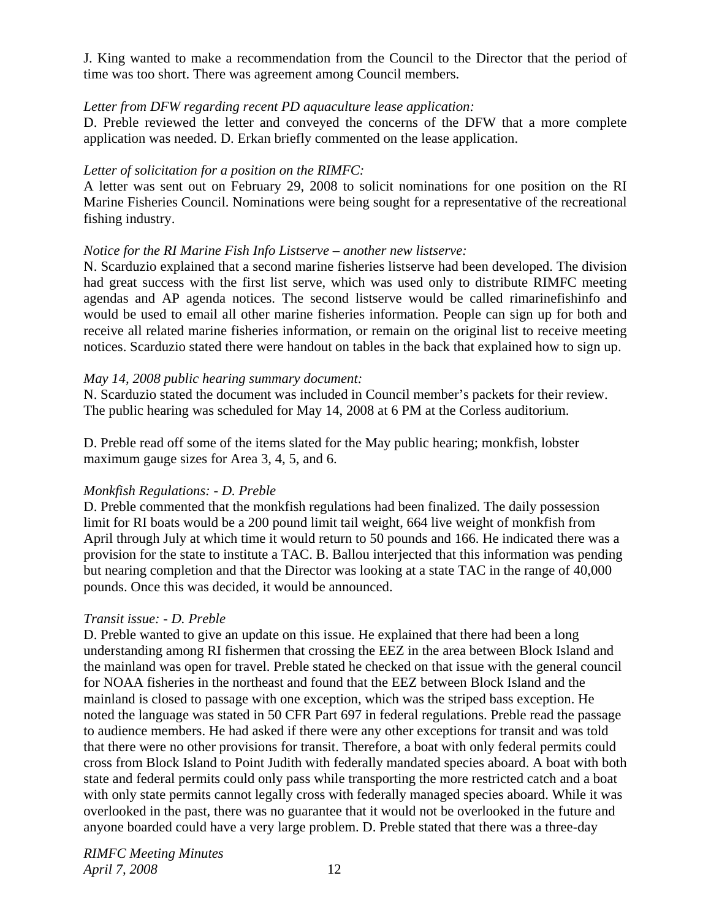J. King wanted to make a recommendation from the Council to the Director that the period of time was too short. There was agreement among Council members.

### *Letter from DFW regarding recent PD aquaculture lease application:*

D. Preble reviewed the letter and conveyed the concerns of the DFW that a more complete application was needed. D. Erkan briefly commented on the lease application.

### *Letter of solicitation for a position on the RIMFC:*

A letter was sent out on February 29, 2008 to solicit nominations for one position on the RI Marine Fisheries Council. Nominations were being sought for a representative of the recreational fishing industry.

### *Notice for the RI Marine Fish Info Listserve – another new listserve:*

N. Scarduzio explained that a second marine fisheries listserve had been developed. The division had great success with the first list serve, which was used only to distribute RIMFC meeting agendas and AP agenda notices. The second listserve would be called rimarinefishinfo and would be used to email all other marine fisheries information. People can sign up for both and receive all related marine fisheries information, or remain on the original list to receive meeting notices. Scarduzio stated there were handout on tables in the back that explained how to sign up.

### *May 14, 2008 public hearing summary document:*

N. Scarduzio stated the document was included in Council member's packets for their review. The public hearing was scheduled for May 14, 2008 at 6 PM at the Corless auditorium.

D. Preble read off some of the items slated for the May public hearing; monkfish, lobster maximum gauge sizes for Area 3, 4, 5, and 6.

## *Monkfish Regulations: - D. Preble*

D. Preble commented that the monkfish regulations had been finalized. The daily possession limit for RI boats would be a 200 pound limit tail weight, 664 live weight of monkfish from April through July at which time it would return to 50 pounds and 166. He indicated there was a provision for the state to institute a TAC. B. Ballou interjected that this information was pending but nearing completion and that the Director was looking at a state TAC in the range of 40,000 pounds. Once this was decided, it would be announced.

## *Transit issue: - D. Preble*

D. Preble wanted to give an update on this issue. He explained that there had been a long understanding among RI fishermen that crossing the EEZ in the area between Block Island and the mainland was open for travel. Preble stated he checked on that issue with the general council for NOAA fisheries in the northeast and found that the EEZ between Block Island and the mainland is closed to passage with one exception, which was the striped bass exception. He noted the language was stated in 50 CFR Part 697 in federal regulations. Preble read the passage to audience members. He had asked if there were any other exceptions for transit and was told that there were no other provisions for transit. Therefore, a boat with only federal permits could cross from Block Island to Point Judith with federally mandated species aboard. A boat with both state and federal permits could only pass while transporting the more restricted catch and a boat with only state permits cannot legally cross with federally managed species aboard. While it was overlooked in the past, there was no guarantee that it would not be overlooked in the future and anyone boarded could have a very large problem. D. Preble stated that there was a three-day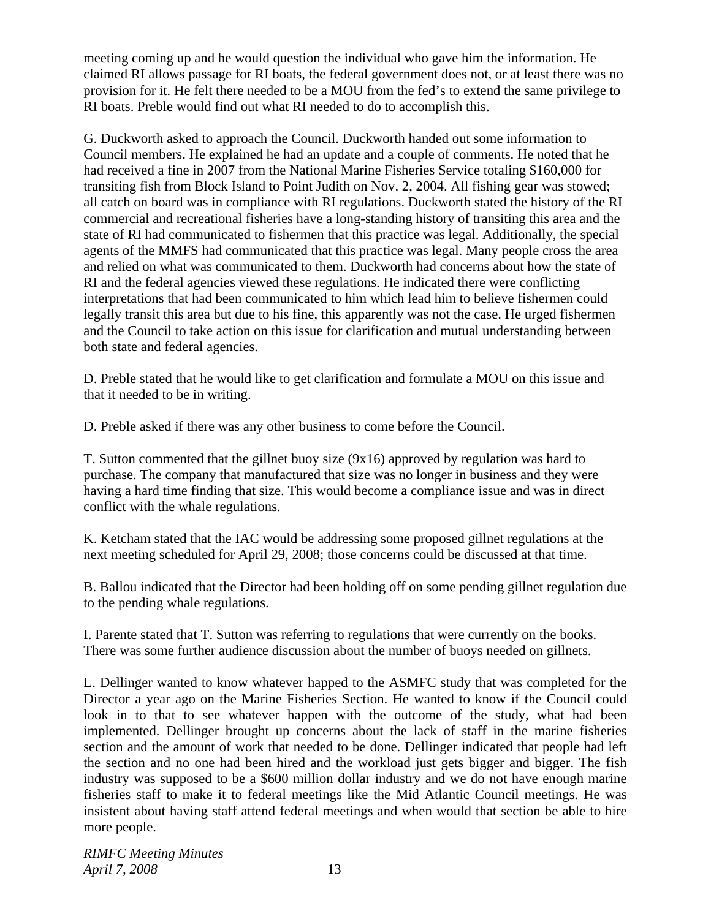meeting coming up and he would question the individual who gave him the information. He claimed RI allows passage for RI boats, the federal government does not, or at least there was no provision for it. He felt there needed to be a MOU from the fed's to extend the same privilege to RI boats. Preble would find out what RI needed to do to accomplish this.

G. Duckworth asked to approach the Council. Duckworth handed out some information to Council members. He explained he had an update and a couple of comments. He noted that he had received a fine in 2007 from the National Marine Fisheries Service totaling \$160,000 for transiting fish from Block Island to Point Judith on Nov. 2, 2004. All fishing gear was stowed; all catch on board was in compliance with RI regulations. Duckworth stated the history of the RI commercial and recreational fisheries have a long-standing history of transiting this area and the state of RI had communicated to fishermen that this practice was legal. Additionally, the special agents of the MMFS had communicated that this practice was legal. Many people cross the area and relied on what was communicated to them. Duckworth had concerns about how the state of RI and the federal agencies viewed these regulations. He indicated there were conflicting interpretations that had been communicated to him which lead him to believe fishermen could legally transit this area but due to his fine, this apparently was not the case. He urged fishermen and the Council to take action on this issue for clarification and mutual understanding between both state and federal agencies.

D. Preble stated that he would like to get clarification and formulate a MOU on this issue and that it needed to be in writing.

D. Preble asked if there was any other business to come before the Council.

T. Sutton commented that the gillnet buoy size (9x16) approved by regulation was hard to purchase. The company that manufactured that size was no longer in business and they were having a hard time finding that size. This would become a compliance issue and was in direct conflict with the whale regulations.

K. Ketcham stated that the IAC would be addressing some proposed gillnet regulations at the next meeting scheduled for April 29, 2008; those concerns could be discussed at that time.

B. Ballou indicated that the Director had been holding off on some pending gillnet regulation due to the pending whale regulations.

I. Parente stated that T. Sutton was referring to regulations that were currently on the books. There was some further audience discussion about the number of buoys needed on gillnets.

L. Dellinger wanted to know whatever happed to the ASMFC study that was completed for the Director a year ago on the Marine Fisheries Section. He wanted to know if the Council could look in to that to see whatever happen with the outcome of the study, what had been implemented. Dellinger brought up concerns about the lack of staff in the marine fisheries section and the amount of work that needed to be done. Dellinger indicated that people had left the section and no one had been hired and the workload just gets bigger and bigger. The fish industry was supposed to be a \$600 million dollar industry and we do not have enough marine fisheries staff to make it to federal meetings like the Mid Atlantic Council meetings. He was insistent about having staff attend federal meetings and when would that section be able to hire more people.